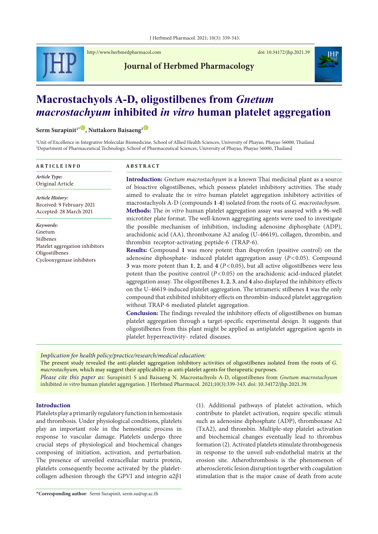

<http://www.herbmedpharmacol.com> doi: [10.34172/jhp.2021.39](https://doi.org/10.34172/jhp.2021.39)

**Journal of Herbmed Pharmacology**



# **Macrostachyols A-D, oligostilbenes from** *Gnetum macrostachyum* **inhibited** *in vitro* **human platelet aggregation**

 $\text{Serm Surapinit}^{1*}\textcircled{P}$ , Nuttakorn Baisaeng<sup>2 **[ID](https://orcid.org/0000-0002-0305-5854)**</sup>

1 Unit of Excellence in Integrative Molecular Biomedicine, School of Allied Health Sciences, University of Phayao, Phayao 56000, Thailand 2 Department of Pharmaceutical Technology, School of Pharmaceutical Sciences, University of Phayao, Phayao 56000, Thailand

| <b>ARTICLE INFO</b>                                                                                                | <b>ABSTRACT</b>                                                                                                                                                                                                                                                                                                                                                                                                                                                                                                                                                                                                                                                                                                                                                                                                                                                                                                                                                                                                                                                                                                                                                                                                                                                                                                                               |  |  |  |  |
|--------------------------------------------------------------------------------------------------------------------|-----------------------------------------------------------------------------------------------------------------------------------------------------------------------------------------------------------------------------------------------------------------------------------------------------------------------------------------------------------------------------------------------------------------------------------------------------------------------------------------------------------------------------------------------------------------------------------------------------------------------------------------------------------------------------------------------------------------------------------------------------------------------------------------------------------------------------------------------------------------------------------------------------------------------------------------------------------------------------------------------------------------------------------------------------------------------------------------------------------------------------------------------------------------------------------------------------------------------------------------------------------------------------------------------------------------------------------------------|--|--|--|--|
| Article Type:<br>Original Article                                                                                  | Introduction: Gnetum macrostachyum is a known Thai medicinal plant as a source<br>of bioactive oligostilbenes, which possess platelet inhibitory activities. The study<br>aimed to evaluate the <i>in vitro</i> human platelet aggregation inhibitory activities of<br>macrostachyols A-D (compounds 1-4) isolated from the roots of G. macrostachyum.<br>Methods: The in vitro human platelet aggregation assay was assayed with a 96-well                                                                                                                                                                                                                                                                                                                                                                                                                                                                                                                                                                                                                                                                                                                                                                                                                                                                                                   |  |  |  |  |
| Article History:<br>Received: 9 February 2021<br>Accepted: 28 March 2021                                           |                                                                                                                                                                                                                                                                                                                                                                                                                                                                                                                                                                                                                                                                                                                                                                                                                                                                                                                                                                                                                                                                                                                                                                                                                                                                                                                                               |  |  |  |  |
| Keywords:<br>Gnetum<br>Stilbenes<br>Platelet aggregation inhibitors<br>Oligostilbenes<br>Cyclooxygenase inhibitors | microtiter plate format. The well-known aggregating agents were used to investigate<br>the possible mechanism of inhibition, including adenosine diphosphate (ADP),<br>arachidonic acid (AA), thromboxane A2 analog (U-46619), collagen, thrombin, and<br>thrombin receptor-activating peptide-6 (TRAP-6).<br><b>Results:</b> Compound 1 was more potent than ibuprofen (positive control) on the<br>adenosine diphosphate- induced platelet aggregation assay ( $P < 0.05$ ). Compound<br>3 was more potent than 1, 2, and 4 ( $P < 0.05$ ), but all active oligostilbenes were less<br>potent than the positive control ( $P < 0.05$ ) on the arachidonic acid-induced platelet<br>aggregation assay. The oligostilbenes 1, 2, 3, and 4 also displayed the inhibitory effects<br>on the U-46619-induced platelet aggregation. The tetrameric stilbenes 1 was the only<br>compound that exhibited inhibitory effects on thrombin-induced platelet aggregation<br>without TRAP-6 mediated platelet aggregation.<br><b>Conclusion:</b> The findings revealed the inhibitory effects of oligostilbenes on human<br>platelet aggregation through a target-specific experimental design. It suggests that<br>oligostilbenes from this plant might be applied as antiplatelet aggregation agents in<br>platelet hyperreactivity- related diseases. |  |  |  |  |

*Implication for health policy/practice/research/medical education:*

The present study revealed the anti-platelet aggregation inhibitory activities of oligostilbenes isolated from the roots of *G. macrostachyum,* which may suggest their applicability as anti-platelet agents for therapeutic purposes.

*Please cite this paper as:* Surapinit1 S and Baisaeng N. Macrostachyols A-D, oligostilbenes from *Gnetum macrostachyum* inhibited *in vitro* human platelet aggregation. J Herbmed Pharmacol. 2021;10(3):339-343. doi: 10.34172/jhp.2021.39.

# **Introduction**

Platelets play a primarily regulatory function in hemostasis and thrombosis. Under physiological conditions, platelets play an important role in the hemostatic process in response to vascular damage. Platelets undergo three crucial steps of physiological and biochemical changes composing of initiation, activation, and perturbation. The presence of unveiled extracellular matrix protein, platelets consequently become activated by the plateletcollagen adhesion through the GPVI and integrin α2β1

(1). Additional pathways of platelet activation, which contribute to platelet activation, require specific stimuli such as adenosine diphosphate (ADP), thromboxane A2 (TxA2), and thrombin. Multiple-step platelet activation and biochemical changes eventually lead to thrombus formation (2). Activated platelets stimulate thrombogenesis in response to the unveil sub-endothelial matrix at the erosion site. Atherothrombosis is the phenomenon of atherosclerotic lesion disruption together with coagulation stimulation that is the major cause of death from acute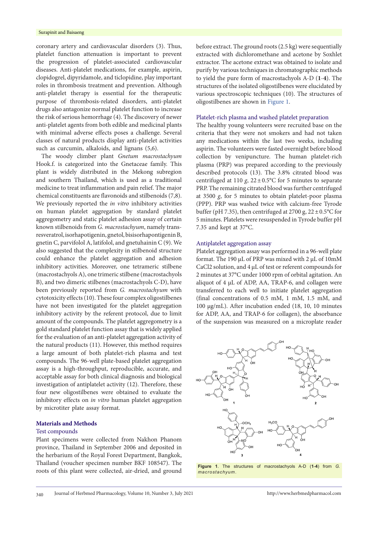coronary artery and cardiovascular disorders (3). Thus, platelet function attenuation is important to prevent the progression of platelet-associated cardiovascular diseases. Anti-platelet medications, for example, aspirin, clopidogrel, dipyridamole, and ticlopidine, play important roles in thrombosis treatment and prevention. Although anti-platelet therapy is essential for the therapeutic purpose of thrombosis-related disorders, anti-platelet drugs also antagonize normal platelet function to increase the risk of serious hemorrhage (4). The discovery of newer anti-platelet agents from both edible and medicinal plants with minimal adverse effects poses a challenge. Several classes of natural products display anti-platelet activities such as curcumin, alkaloids, and lignans (5,6).

The woody climber plant *Gnetum macrostachyum* Hook.f. is categorized into the Gnetaceae family. This plant is widely distributed in the Mekong subregion and southern Thailand, which is used as a traditional medicine to treat inflammation and pain relief. The major chemical constituents are flavonoids and stilbenoids (7,8). We previously reported the *in vitro* inhibitory activities on human platelet aggregation by standard platelet aggregometry and static platelet adhesion assay of certain known stilbenoids from *G. macrostachyum*, namely transresveratrol, isorhapotigenin, gnetol, bisisorhapontigenin B, gnetin C, parvifolol A, latifolol, and gnetuhainin C (9). We also suggested that the complexity in stilbenoid structure could enhance the platelet aggregation and adhesion inhibitory activities. Moreover, one tetrameric stilbene (macrostachyols A), one trimeric stilbene (macrostachyols B), and two dimeric stilbenes (macrostachyols C-D), have been previously reported from *G. macrostachyum* with cytotoxicity effects (10). These four complex oligostilbenes have not been investigated for the platelet aggregation inhibitory activity by the referent protocol, due to limit amount of the compounds. The platelet aggregometry is a gold standard platelet function assay that is widely applied for the evaluation of an anti-platelet aggregation activity of the natural products (11). However, this method requires a large amount of both platelet-rich plasma and test compounds. The 96-well plate-based platelet aggregation assay is a high-throughput, reproducible, accurate, and acceptable assay for both clinical diagnosis and biological investigation of antiplatelet activity (12). Therefore, these four new oligostilbenes were obtained to evaluate the inhibitory effects on *in vitro* human platelet aggregation by microtiter plate assay format.

## **Materials and Methods**

# Test compounds

Plant specimens were collected from Nakhon Phanom province, Thailand in September 2006 and deposited in the herbarium of the Royal Forest Department, Bangkok, Thailand (voucher specimen number BKF 108547). The roots of this plant were collected, air-dried, and ground

before extract. The ground roots (2.5 kg) were sequentially extracted with dichloromethane and acetone by Soxhlet extractor. The acetone extract was obtained to isolate and purify by various techniques in chromatographic methods to yield the pure form of macrostachyols A-D (**1**-**4**). The structures of the isolated oligostilbenes were elucidated by various spectroscopic techniques (10). The structures of oligostilbenes are shown in [Figure](#page-1-0) 1.

# Platelet-rich plasma and washed platelet preparation

The healthy young volunteers were recruited base on the criteria that they were not smokers and had not taken any medications within the last two weeks, including aspirin. The volunteers were fasted overnight before blood collection by venipuncture. The human platelet-rich plasma (PRP) was prepared according to the previously described protocols (13). The 3.8% citrated blood was centrifuged at 110  $g$ ,  $22 \pm 0.5$ °C for 5 minutes to separate PRP. The remaining citrated blood was further centrifuged at 3500 *g*, for 5 minutes to obtain platelet-poor plasma (PPP). PRP was washed twice with calcium-free Tyrode buffer (pH 7.35), then centrifuged at 2700 g,  $22 \pm 0.5$ °C for 5 minutes. Platelets were resuspended in Tyrode buffer pH 7.35 and kept at 37°C.

#### Antiplatelet aggregation assay

Platelet aggregation assay was performed in a 96-well plate format. The 190 µL of PRP was mixed with 2 µL of 10mM CaCl2 solution, and 4 µL of test or referent compounds for 2 minutes at 37°C under 1000 rpm of orbital agitation. An aliquot of 4 µL of ADP, AA, TRAP-6, and collagen were transferred to each well to initiate platelet aggregation (final concentrations of 0.5 mM, 1 mM, 1.5 mM, and 100 µg/mL). After incubation ended (18, 10, 10 minutes for ADP, AA, and TRAP-6 for collagen), the absorbance of the suspension was measured on a microplate reader

<span id="page-1-0"></span>

**Figure 1**. The structures of macrostachyols A-D (**1**-**4**) from *G. macrostachyum*.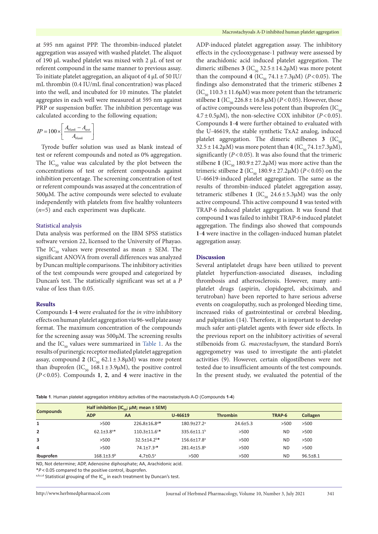at 595 nm against PPP. The thrombin-induced platelet aggregation was assayed with washed platelet. The aliquot of 190 µL washed platelet was mixed with 2 µL of test or referent compound in the same manner to previous assay. To initiate platelet aggregation, an aliquot of 4 µL of 50 IU/ mL thrombin (0.4 IU/mL final concentration) was placed into the well, and incubated for 10 minutes. The platelet aggregates in each well were measured at 595 nm against PRP or suspension buffer. The inhibition percentage was calculated according to the following equation;

$$
IP = 100 \times \left[ \frac{A_{blank} - A_{test}}{A_{blank}} \right]
$$

Tyrode buffer solution was used as blank instead of test or referent compounds and noted as 0% aggregation. The  $IC_{50}$  value was calculated by the plot between the concentrations of test or referent compounds against inhibition percentage. The screening concentration of test or referent compounds was assayed at the concentration of 500µM. The active compounds were selected to evaluate independently with platelets from five healthy volunteers (*n*=5) and each experiment was duplicate.

# Statistical analysis

Data analysis was performed on the IBM SPSS statistics software version 22, licensed to the University of Phayao. The IC<sub>50</sub> values were presented as mean  $\pm$  SEM. The significant ANOVA from overall differences was analyzed by Duncan multiple comparisons. The inhibitory activities of the test compounds were grouped and categorized by Duncan's test. The statistically significant was set at a *P*  value of less than 0.05.

## **Results**

Compounds **1**-**4** were evaluated for the *in vitro* inhibitory effects on human platelet aggregation via 96-well plate assay format. The maximum concentration of the compounds for the screening assay was 500µM. The screening results and the  $IC_{50}$  values were summarized in [Table](#page-2-0) 1. As the results of purinergic receptor mediated platelet aggregation assay, compound **2** (IC<sub>50</sub> 62.1±3.8µM) was more potent than ibuprofen (IC<sub>50</sub> 168.1±3.9µM), the positive control (*P*<0.05). Compounds **1**, **2**, and **4** were inactive in the ADP-induced platelet aggregation assay. The inhibitory effects in the cyclooxygenase-1 pathway were assessed by the arachidonic acid induced platelet aggregation. The dimeric stilbenes  $3$  (IC<sub>50</sub> 32.5 ± 14.2 $\mu$ M) was more potent than the compound **4** (IC<sub>50</sub> 74.1 ± 7.3µM) (*P* < 0.05). The findings also demonstrated that the trimeric stilbenes **2**  $(IC_{\epsilon_0} 110.3 \pm 11.6 \mu M)$  was more potent than the tetrameric stilbene 1 (IC<sub>50</sub> 226.8 ± 16.8 µM) ( $P$  < 0.05). However, those of active compounds were less potent than ibuprofen  $(IC_{\epsilon_0})$  $4.7 \pm 0.5 \mu M$ ), the non-selective COX inhibitor ( $P < 0.05$ ). Compounds **1**-**4** were further obtained to evaluated with the U-46619, the stable synthetic TxA2 analog, induced platelet aggregation. The dimeric stilbenes  $3 \left( \text{IC}_{50} \right)$  $32.5 \pm 14.2 \mu M$ ) was more potent than  $4 (IC_{50} 74.1 \pm 7.3 \mu M)$ , significantly  $(P<0.05)$ . It was also found that the trimeric stilbene 1 (IC<sub>50</sub> 180.9  $\pm$  27.2µM) was more active than the trimeric stilbene 2 (IC<sub>50</sub> 180.9 ± 27.2 $\mu$ M) (*P*<0.05) on the U-46619-induced platelet aggregation. The same as the results of thrombin-induced platelet aggregation assay, tetrameric stilbenes 1 ( $IC_{50}$  24.6±5.3 $\mu$ M) was the only active compound. This active compound **1** was tested with TRAP-6 induced platelet aggregation. It was found that compound **1** was failed to inhibit TRAP-6 induced platelet aggregation. The findings also showed that compounds **1**-**4** were inactive in the collagen-induced human platelet aggregation assay.

## **Discussion**

Several antiplatelet drugs have been utilized to prevent platelet hyperfunction-associated diseases, including thrombosis and atherosclerosis. However, many antiplatelet drugs (aspirin, clopidogrel, abciximab, and terutroban) have been reported to have serious adverse events on coagulopathy, such as prolonged bleeding time, increased risks of gastrointestinal or cerebral bleeding, and palpitation (14). Therefore, it is important to develop much safer anti-platelet agents with fewer side effects. In the previous report on the inhibitory activities of several stilbenoids from *G. macrostachyum*, the standard Born's aggregometry was used to investigate the anti-platelet activities (9). However, certain oligostilbenes were not tested due to insufficient amounts of the test compounds. In the present study, we evaluated the potential of the

<span id="page-2-0"></span>**Table 1**. Human platelet aggregation inhibitory activities of the macrostachyols A-D (Compounds **1**-**4**)

| <b>Compounds</b> | Half inhibition (IC <sub>co</sub> ; $\mu$ M; mean $\pm$ SEM) |                                |                               |                 |           |                |  |  |
|------------------|--------------------------------------------------------------|--------------------------------|-------------------------------|-----------------|-----------|----------------|--|--|
|                  | <b>ADP</b>                                                   | AA                             | U-46619                       | <b>Thrombin</b> | TRAP-6    | Collagen       |  |  |
| 1                | >500                                                         | 226.8±16.8 <sup>d*</sup>       | $180.9 \pm 27.2$ <sup>a</sup> | $24.6 \pm 5.3$  | >500      | >500           |  |  |
| $\overline{2}$   | $62.1 \pm 3.8$ <sup>a*</sup>                                 | $110.3 \pm 11.6$ <sup>c*</sup> | $335.6 \pm 11.1$ <sup>b</sup> | >500            | <b>ND</b> | >500           |  |  |
| 3                | >500                                                         | $32.5 \pm 14.2$ <sup>b*</sup>  | 156.6±17.8 <sup>a</sup>       | >500            | <b>ND</b> | >500           |  |  |
| 4                | >500                                                         | $74.1{\pm}7.3$ <sup>c*</sup>   | 281.4±15.8 <sup>b</sup>       | >500            | <b>ND</b> | >500           |  |  |
| Ibuprofen        | $168.1{\pm}3.9^{\text{b}}$                                   | $4.7 \pm 0.5^{\circ}$          | >500                          | >500            | <b>ND</b> | $96.5 \pm 8.1$ |  |  |

ND, Not determine; ADP, Adenosine diphosphate; AA, Arachidonic acid.

\**P*< 0.05 compared to the positive control, ibuprofen.

a,b,c,d Statistical grouping of the IC<sub>E0</sub> in each treatment by Duncan's test.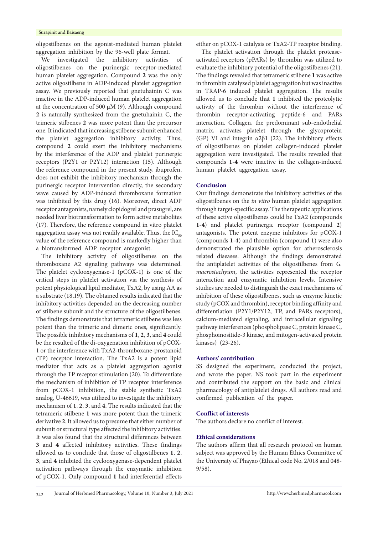#### Surapinit and Baisaeng

oligostilbenes on the agonist-mediated human platelet aggregation inhibition by the 96-well plate format.

We investigated the inhibitory activities of oligostilbenes on the purinergic receptor-mediated human platelet aggregation. Compound **2** was the only active oligostilbene in ADP-induced platelet aggregation assay. We previously reported that gnetuhainin C was inactive in the ADP-induced human platelet aggregation at the concentration of 500  $\mu$ M (9). Although compound **2** is naturally synthesized from the gnetuhainin C, the trimeric stilbenes **2** was more potent than the precursor one. It indicated that increasing stilbene subunit enhanced the platelet aggregation inhibitory activity. Thus, compound **2** could exert the inhibitory mechanisms by the interference of the ADP and platelet purinergic receptors (P2Y1 or P2Y12) interaction (15). Although the reference compound in the present study, ibuprofen, does not exhibit the inhibitory mechanism through the purinergic receptor intervention directly, the secondary wave caused by ADP-induced thromboxane formation was inhibited by this drug (16). Moreover, direct ADP receptor antagonists, namely clopidogrel and prasugrel, are needed liver biotransformation to form active metabolites (17). Therefore, the reference compound in vitro platelet aggregation assay was not readily available. Thus, the  $IC_{50}$ value of the reference compound is markedly higher than a biotransformed ADP receptor antagonist.

The inhibitory activity of oligostilbenes on the thromboxane A2 signaling pathways was determined. The platelet cyclooxygenase-1 (pCOX-1) is one of the critical steps in platelet activation via the synthesis of potent physiological lipid mediator, TxA2, by using AA as a substrate (18,19). The obtained results indicated that the inhibitory activities depended on the decreasing number of stilbene subunit and the structure of the oligostilbenes. The findings demonstrate that tetrameric stilbene was less potent than the trimeric and dimeric ones, significantly. The possible inhibitory mechanisms of **1**, **2**, **3**, and **4** could be the resulted of the di-oxygenation inhibition of pCOX-1 or the interference with TxA2-thromboxane-prostanoid (TP) receptor interaction. The TxA2 is a potent lipid mediator that acts as a platelet aggregation agonist through the TP receptor stimulation (20). To differentiate the mechanism of inhibition of TP receptor interference from pCOX-1 inhibition, the stable synthetic TxA2 analog, U-46619, was utilized to investigate the inhibitory mechanism of **1**, **2**, **3**, and **4**. The results indicated that the tetrameric stilbene **1** was more potent than the trimeric derivative **2**. It allowed us to presume that either number of subunit or structural type affected the inhibitory activities. It was also found that the structural differences between **3** and **4** affected inhibitory activities. These findings allowed us to conclude that those of oligostilbenes **1**, **2**, **3**, and **4** inhibited the cyclooxygenase-dependent platelet activation pathways through the enzymatic inhibition of pCOX-1. Only compound **1** had interferential effects

either on pCOX-1 catalysis or TxA2-TP receptor binding.

The platelet activation through the platelet proteaseactivated receptors (pPARs) by thrombin was utilized to evaluate the inhibitory potential of the oligostilbenes (21). The findings revealed that tetrameric stilbene **1** was active in thrombin catalyzed platelet aggregation but was inactive in TRAP-6 induced platelet aggregation. The results allowed us to conclude that **1** inhibited the proteolytic activity of the thrombin without the interference of thrombin receptor-activating peptide-6 and PARs interaction. Collagen, the predominant sub-endothelial matrix, activates platelet through the glycoprotein (GP) VI and integrin  $\alpha$ 2 $\beta$ 1 (22). The inhibitory effects of oligostilbenes on platelet collagen-induced platelet aggregation were investigated. The results revealed that compounds **1**-**4** were inactive in the collagen-induced human platelet aggregation assay.

## **Conclusion**

Our findings demonstrate the inhibitory activities of the oligostilbenes on the *in vitro* human platelet aggregation through target-specific assay. The therapeutic applications of these active oligostilbenes could be TxA2 (compounds **1**-**4**) and platelet purinergic receptor (compound **2**) antagonists. The potent enzyme inhibitors for pCOX-1 (compounds **1**-**4**) and thrombin (compound **1**) were also demonstrated the plausible option for atherosclerosis related diseases. Although the findings demonstrated the antiplatelet activities of the oligostilbenes from *G. macrostachyum*, the activities represented the receptor interaction and enzymatic inhibition levels. Intensive studies are needed to distinguish the exact mechanisms of inhibition of these oligostilbenes, such as enzyme kinetic study (pCOX and thrombin), receptor binding affinity and differentiation (P2Y1/P2Y12, TP, and PARs receptors), calcium-mediated signaling, and intracellular signaling pathway interferences (phospholipase C, protein kinase C, phosphoinositide-3 kinase, and mitogen-activated protein kinases) (23-26).

# **Authors' contribution**

SS designed the experiment, conducted the project, and wrote the paper. NS took part in the experiment and contributed the support on the basic and clinical pharmacology of antiplatelet drugs. All authors read and confirmed publication of the paper.

# **Conflict of interests**

The authors declare no conflict of interest.

# **Ethical considerations**

The authors affirm that all research protocol on human subject was approved by the Human Ethics Committee of the University of Phayao (Ethical code No. 2/018 and 048- 9/58).